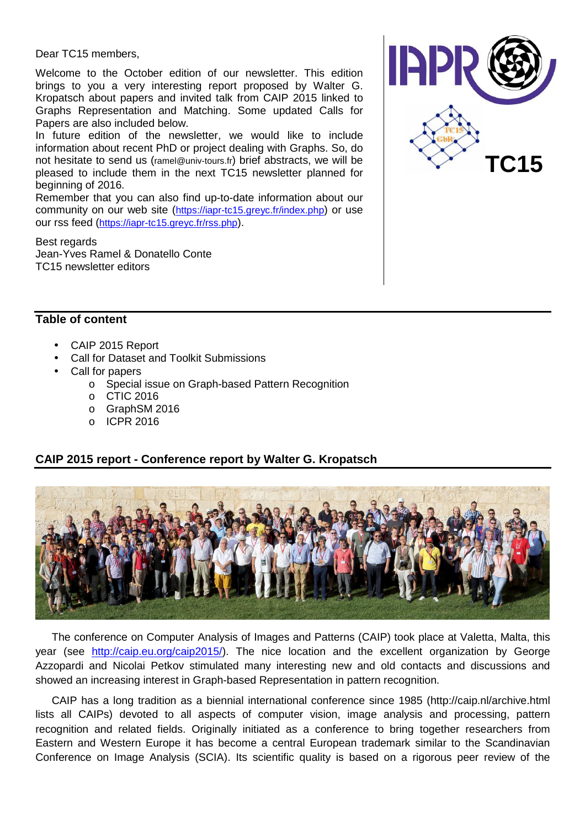Dear TC15 members,

Welcome to the October edition of our newsletter. This edition brings to you a very interesting report proposed by Walter G. Kropatsch about papers and invited talk from CAIP 2015 linked to Graphs Representation and Matching. Some updated Calls for Papers are also included below.

In future edition of the newsletter, we would like to include information about recent PhD or project dealing with Graphs. So, do not hesitate to send us (ramel@univ-tours.fr) brief abstracts, we will be pleased to include them in the next TC15 newsletter planned for beginning of 2016.

Remember that you can also find up-to-date information about our community on our web site (https://iapr-tc15.greyc.fr/index.php) or use our rss feed (https://iapr-tc15.greyc.fr/rss.php).

Best regards Jean-Yves Ramel & Donatello Conte TC15 newsletter editors



#### **Table of content**

- CAIP 2015 Report
- Call for Dataset and Toolkit Submissions
- Call for papers
	- o Special issue on Graph-based Pattern Recognition
	- o CTIC 2016
	- o GraphSM 2016
	- o ICPR 2016

## **CAIP 2015 report - Conference report by Walter G. Kropatsch**



The conference on Computer Analysis of Images and Patterns (CAIP) took place at Valetta, Malta, this year (see http://caip.eu.org/caip2015/). The nice location and the excellent organization by George Azzopardi and Nicolai Petkov stimulated many interesting new and old contacts and discussions and showed an increasing interest in Graph-based Representation in pattern recognition.

CAIP has a long tradition as a biennial international conference since 1985 (http://caip.nl/archive.html lists all CAIPs) devoted to all aspects of computer vision, image analysis and processing, pattern recognition and related fields. Originally initiated as a conference to bring together researchers from Eastern and Western Europe it has become a central European trademark similar to the Scandinavian Conference on Image Analysis (SCIA). Its scientific quality is based on a rigorous peer review of the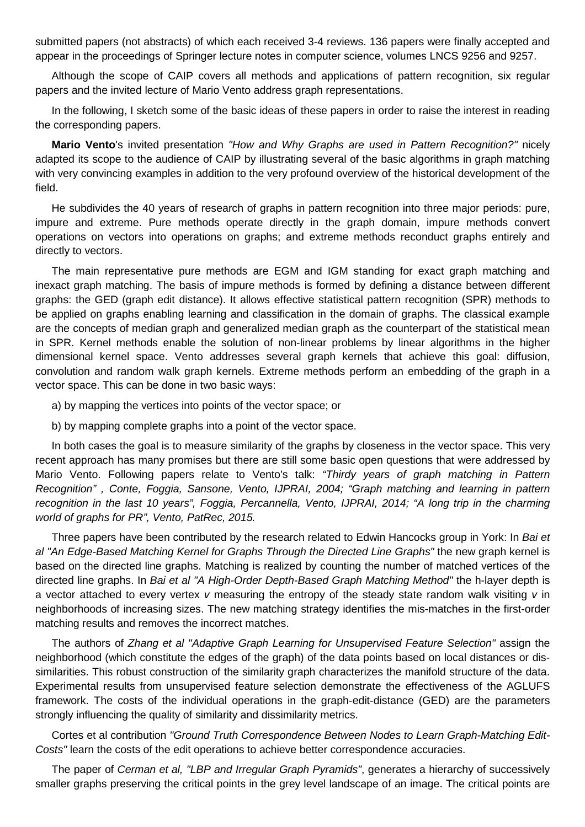submitted papers (not abstracts) of which each received 3-4 reviews. 136 papers were finally accepted and appear in the proceedings of Springer lecture notes in computer science, volumes LNCS 9256 and 9257.

Although the scope of CAIP covers all methods and applications of pattern recognition, six regular papers and the invited lecture of Mario Vento address graph representations.

In the following, I sketch some of the basic ideas of these papers in order to raise the interest in reading the corresponding papers.

**Mario Vento**'s invited presentation "How and Why Graphs are used in Pattern Recognition?" nicely adapted its scope to the audience of CAIP by illustrating several of the basic algorithms in graph matching with very convincing examples in addition to the very profound overview of the historical development of the field.

He subdivides the 40 years of research of graphs in pattern recognition into three major periods: pure, impure and extreme. Pure methods operate directly in the graph domain, impure methods convert operations on vectors into operations on graphs; and extreme methods reconduct graphs entirely and directly to vectors.

The main representative pure methods are EGM and IGM standing for exact graph matching and inexact graph matching. The basis of impure methods is formed by defining a distance between different graphs: the GED (graph edit distance). It allows effective statistical pattern recognition (SPR) methods to be applied on graphs enabling learning and classification in the domain of graphs. The classical example are the concepts of median graph and generalized median graph as the counterpart of the statistical mean in SPR. Kernel methods enable the solution of non-linear problems by linear algorithms in the higher dimensional kernel space. Vento addresses several graph kernels that achieve this goal: diffusion, convolution and random walk graph kernels. Extreme methods perform an embedding of the graph in a vector space. This can be done in two basic ways:

- a) by mapping the vertices into points of the vector space; or
- b) by mapping complete graphs into a point of the vector space.

In both cases the goal is to measure similarity of the graphs by closeness in the vector space. This very recent approach has many promises but there are still some basic open questions that were addressed by Mario Vento. Following papers relate to Vento's talk: "Thirdy years of graph matching in Pattern Recognition" , Conte, Foggia, Sansone, Vento, IJPRAI, 2004; "Graph matching and learning in pattern recognition in the last 10 years", Foggia, Percannella, Vento, IJPRAI, 2014; "A long trip in the charming world of graphs for PR", Vento, PatRec, 2015.

Three papers have been contributed by the research related to Edwin Hancocks group in York: In Bai et al "An Edge-Based Matching Kernel for Graphs Through the Directed Line Graphs" the new graph kernel is based on the directed line graphs. Matching is realized by counting the number of matched vertices of the directed line graphs. In Bai et al "A High-Order Depth-Based Graph Matching Method" the h-layer depth is a vector attached to every vertex v measuring the entropy of the steady state random walk visiting v in neighborhoods of increasing sizes. The new matching strategy identifies the mis-matches in the first-order matching results and removes the incorrect matches.

The authors of Zhang et al "Adaptive Graph Learning for Unsupervised Feature Selection" assign the neighborhood (which constitute the edges of the graph) of the data points based on local distances or dissimilarities. This robust construction of the similarity graph characterizes the manifold structure of the data. Experimental results from unsupervised feature selection demonstrate the effectiveness of the AGLUFS framework. The costs of the individual operations in the graph-edit-distance (GED) are the parameters strongly influencing the quality of similarity and dissimilarity metrics.

Cortes et al contribution "Ground Truth Correspondence Between Nodes to Learn Graph-Matching Edit-Costs" learn the costs of the edit operations to achieve better correspondence accuracies.

The paper of Cerman et al, "LBP and Irregular Graph Pyramids", generates a hierarchy of successively smaller graphs preserving the critical points in the grey level landscape of an image. The critical points are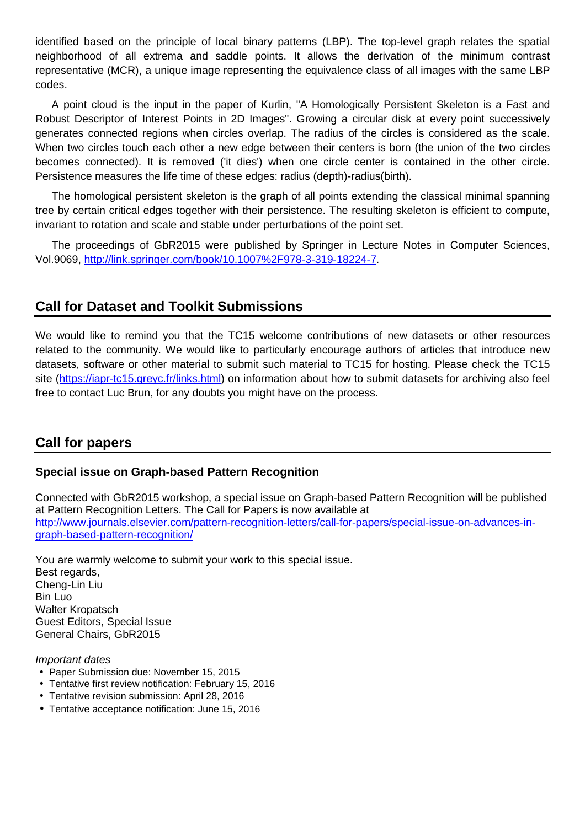identified based on the principle of local binary patterns (LBP). The top-level graph relates the spatial neighborhood of all extrema and saddle points. It allows the derivation of the minimum contrast representative (MCR), a unique image representing the equivalence class of all images with the same LBP codes.

A point cloud is the input in the paper of Kurlin, "A Homologically Persistent Skeleton is a Fast and Robust Descriptor of Interest Points in 2D Images". Growing a circular disk at every point successively generates connected regions when circles overlap. The radius of the circles is considered as the scale. When two circles touch each other a new edge between their centers is born (the union of the two circles becomes connected). It is removed ('it dies') when one circle center is contained in the other circle. Persistence measures the life time of these edges: radius (depth)-radius(birth).

The homological persistent skeleton is the graph of all points extending the classical minimal spanning tree by certain critical edges together with their persistence. The resulting skeleton is efficient to compute, invariant to rotation and scale and stable under perturbations of the point set.

The proceedings of GbR2015 were published by Springer in Lecture Notes in Computer Sciences, Vol.9069, http://link.springer.com/book/10.1007%2F978-3-319-18224-7.

# **Call for Dataset and Toolkit Submissions**

We would like to remind you that the TC15 welcome contributions of new datasets or other resources related to the community. We would like to particularly encourage authors of articles that introduce new datasets, software or other material to submit such material to TC15 for hosting. Please check the TC15 site (https://iapr-tc15.greyc.fr/links.html) on information about how to submit datasets for archiving also feel free to contact Luc Brun, for any doubts you might have on the process.

# **Call for papers**

## **Special issue on Graph-based Pattern Recognition**

Connected with GbR2015 workshop, a special issue on Graph-based Pattern Recognition will be published at Pattern Recognition Letters. The Call for Papers is now available at http://www.journals.elsevier.com/pattern-recognition-letters/call-for-papers/special-issue-on-advances-ingraph-based-pattern-recognition/

You are warmly welcome to submit your work to this special issue. Best regards, Cheng-Lin Liu Bin Luo Walter Kropatsch Guest Editors, Special Issue General Chairs, GbR2015

#### Important dates

- Paper Submission due: November 15, 2015
- Tentative first review notification: February 15, 2016
- Tentative revision submission: April 28, 2016
- Tentative acceptance notification: June 15, 2016